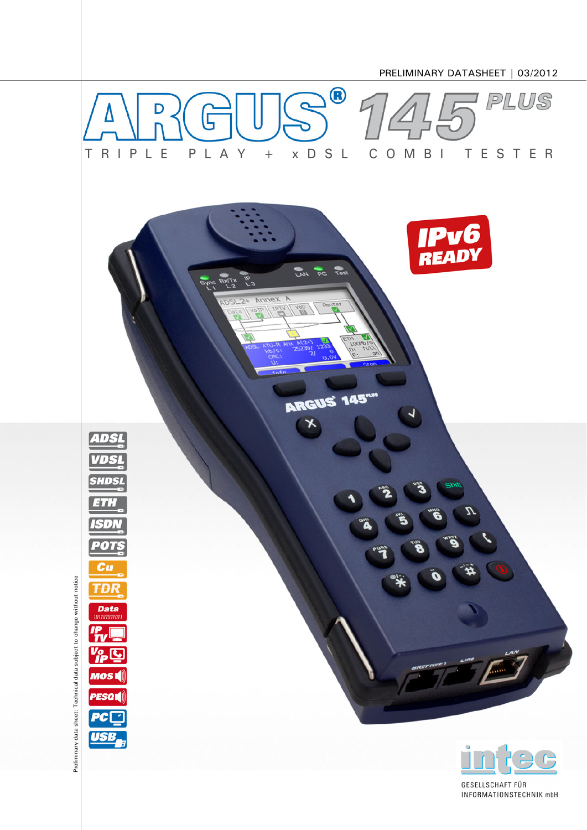

GESELLSCHAFT FÜR INFORMATIONSTECHNIK mbH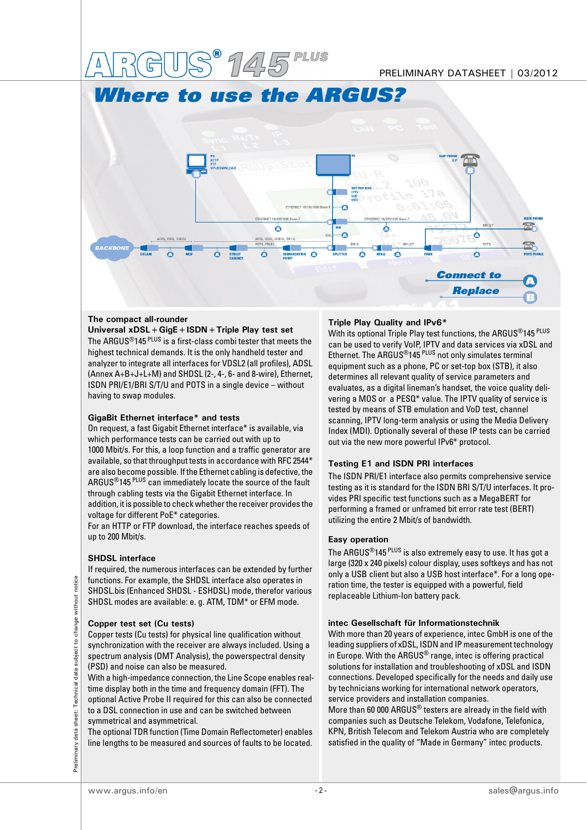

# **The compact all-rounder**

**Universal xDSL+GigE+ISDN+Triple Play test set** The ARGUS<sup>®</sup>145<sup>PLUS</sup> is a first-class combi tester that meets the highest technical demands. It is the only handheld tester and analyzer to integrate all interfaces for VDSL2 (all profiles), ADSL (Annex A+B+J+L+M) and SHDSL (2-, 4-, 6- and 8-wire), Ethernet, ISDN PRI/E1/BRI S/T/U and POTS in a single device – without having to swap modules.

### **GigaBit Ethernet interface\* and tests**

On request, a fast Gigabit Ethernet interface\* is available, via which performance tests can be carried out with up to 1000 Mbit/s. For this, a loop function and a traffic generator are available, so that throughput tests in accordance with RFC 2544\* are also become possible. If the Ethernet cabling is defective, the ARGUS®145 PLUS can immediately locate the source of the fault through cabling tests via the Gigabit Ethernet interface. In addition, it is possible to check whether the receiver provides the voltage for different PoE\* categories.

For an HTTP or FTP download, the interface reaches speeds of up to 200 Mbit/s.

### **SHDSL interface**

If required, the numerous interfaces can be extended by further functions. For example, the SHDSL interface also operates in SHDSL.bis (Enhanced SHDSL - ESHDSL) mode, therefor various SHDSL modes are available: e. g. ATM, TDM\* or EFM mode.

### **Copper test set (Cu tests)**

Copper tests (Cu tests) for physical line qualification without synchronization with the receiver are always included. Using a spectrum analysis (DMT Analysis), the powerspectral density (PSD) and noise can also be measured.

With a high-impedance connection, the Line Scope enables realtime display both in the time and frequency domain (FFT). The optional Active Probe II required for this can also be connected to a DSL connection in use and can be switched between symmetrical and asymmetrical.

The optional TDR function (Time Domain Reflectometer) enables line lengths to be measured and sources of faults to be located.

## **Triple Play Quality and IPv6\***

With its optional Triple Play test functions, the ARGUS®145 PLUS can be used to verify VoIP, IPTV and data services via xDSL and Ethernet. The ARGUS<sup>®</sup>145<sup>PLUS</sup> not only simulates terminal equipment such as a phone, PC or set-top box (STB), it also determines all relevant quality of service parameters and evaluates, as a digital lineman's handset, the voice quality delivering a MOS or a PESQ\* value. The IPTV quality of service is tested by means of STB emulation and VoD test, channel scanning, IPTV long-term analysis or using the Media Delivery Index (MDI). Optionally several of these IP tests can be carried out via the new more powerful IPv6\* protocol.

# **Testing E1 and ISDN PRI interfaces**

The ISDN PRI/E1 interface also permits comprehensive service testing as it is standard for the ISDN BRI S/T/U interfaces. It provides PRI specific test functions such as a MegaBERT for performing a framed or unframed bit error rate test (BERT) utilizing the entire 2 Mbit/s of bandwidth.

### **Easy operation**

The ARGUS®145 PLUS is also extremely easy to use. It has got a large (320 x 240 pixels) colour display, uses softkeys and has not only a USB client but also a USB host interface\*. For a long operation time, the tester is equipped with a powerful, field replaceable Lithium-Ion battery pack.

### **intec Gesellschaft für Informationstechnik**

With more than 20 years of experience, intec GmbH is one of the leading suppliers of xDSL, ISDN and IP measurement technology in Europe. With the ARGUS<sup>®</sup> range, intec is offering practical solutions for installation and troubleshooting of xDSL and ISDN connections. Developed specifically for the needs and daily use by technicians working for international network operators, service providers and installation companies.

More than 60 000 ARGUS® testers are already in the field with companies such as Deutsche Telekom, Vodafone, Telefonica, KPN, British Telecom and Telekom Austria who are completely satisfied in the quality of "Made in Germany" intec products.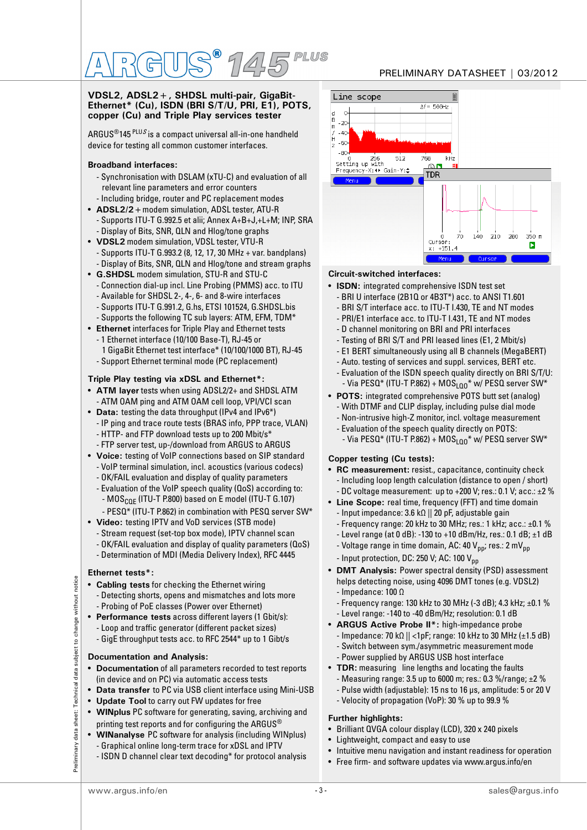### **VDSL2, ADSL2+, SHDSL multi-pair, GigaBit-Ethernet\* (Cu), ISDN (BRI S/T/U, PRI, E1), POTS, copper (Cu) and Triple Play services tester**

ARGUS<sup>®</sup>145<sup>PLUS</sup> is a compact universal all-in-one handheld device for testing all common customer interfaces.

# **Broadband interfaces:**

- Synchronisation with DSLAM (xTU-C) and evaluation of all relevant line parameters and error counters - Including bridge, router and PC replacement modes
- **ADSL2/2+**modem simulation, ADSL tester, ATU-R - Supports ITU-T G.992.5 et alii; Annex A+B+J,+L+M; INP, SRA - Display of Bits, SNR, QLN and Hlog/tone graphs
- **VDSL2** modem simulation, VDSL tester, VTU-R - Supports ITU-T G.993.2 (8, 12, 17, 30 MHz + var. bandplans) - Display of Bits, SNR, QLN and Hlog/tone and stream graphs
- **G.SHDSL** modem simulation, STU-R and STU-C - Connection dial-up incl. Line Probing (PMMS) acc. to ITU - Available for SHDSL 2-, 4-, 6- and 8-wire interfaces
	- Supports ITU-T G.991.2, G.hs, ETSI 101524, G.SHDSL.bis
- Supports the following TC sub layers: ATM, EFM, TDM\*
- **Ethernet** interfaces for Triple Play and Ethernet tests - 1 Ethernet interface (10/100 Base-T), RJ-45 or 1 GigaBit Ethernet test interface\* (10/100/1000 BT), RJ-45 - Support Ethernet terminal mode (PC replacement)

# **Triple Play testing via xDSL and Ethernet\*:**

- **ATM layer** tests when using ADSL2/2+ and SHDSL ATM - ATM OAM ping and ATM OAM cell loop, VPI/VCI scan
- **Data:** testing the data throughput (IPv4 and IPv6\*) - IP ping and trace route tests (BRAS info, PPP trace, VLAN) - HTTP- and FTP download tests up to 200 Mbit/s\*
	- FTP server test, up-/download from ARGUS to ARGUS
- **Voice:** testing of VoIP connections based on SIP standard - VoIP terminal simulation, incl. acoustics (various codecs)
	- OK/FAIL evaluation and display of quality parameters
	- Evaluation of the VoIP speech quality (QoS) according to: -  $MOS<sub>COF</sub>$  (ITU-T P.800) based on E model (ITU-T G.107)
	- PESQ\* (ITU-T P.862) in combination with PESQ server SW\*
- **Video:** testing IPTV and VoD services (STB mode) - Stream request (set-top box mode), IPTV channel scan - OK/FAIL evaluation and display of quality parameters (QoS) - Determination of MDI (Media Delivery Index), RFC 4445

# **Ethernet tests\*:**

- **Cabling tests** for checking the Ethernet wiring - Detecting shorts, opens and mismatches and lots more
- Probing of PoE classes (Power over Ethernet) **Performance tests** across different layers (1 Gbit/s): - Loop and traffic generator (different packet sizes)
- GigE throughput tests acc. to RFC 2544\* up to 1 Gibt/s

# **Documentation and Analysis:**

- **Documentation** of all parameters recorded to test reports (in device and on PC) via automatic access tests
- **Data transfer** to PC via USB client interface using Mini-USB
- **Update Tool** to carry out FW updates for free
- **WINplus** PC software for generating, saving, archiving and printing test reports and for configuring the ARGUS $^\circledR$
- **WINanalyse** PC software for analysis (including WINplus)
- Graphical online long-term trace for xDSL and IPTV
- 
- ISDN D channel clear text decoding\* for protocol analysis





# **Circuit-switched interfaces:**

- **ISDN:** integrated comprehensive ISDN test set
	- BRI U interface (2B1Q or 4B3T\*) acc. to ANSI T1.601
	- BRI S/T interface acc. to ITU-T I.430, TE and NT modes
	- PRI/E1 interface acc. to ITU-T I.431, TE and NT modes
	- D channel monitoring on BRI and PRI interfaces
	- Testing of BRI S/T and PRI leased lines (E1, 2 Mbit/s)
	- E1 BERT simultaneously using all B channels (MegaBERT)
	- Auto. testing of services and suppl. services, BERT etc.
	- Evaluation of the ISDN speech quality directly on BRI S/T/U: - Via PESQ\* (ITU-T P.862) + MOS $_{100}$ \* w/ PESQ server SW\*
- **POTS:** integrated comprehensive POTS butt set (analog)
	- With DTMF and CLIP display, including pulse dial mode
	- Non-intrusive high-Z monitor, incl. voltage measurement
	- Evaluation of the speech quality directly on POTS: - Via PESQ\* (ITU-T P.862) +  $MOS<sub>L00</sub>$ \* w/ PESQ server SW\*

# **Copper testing (Cu tests):**

- **RC measurement:** resist., capacitance, continuity check - Including loop length calculation (distance to open / short) - DC voltage measurement: up to  $+200$  V; res.: 0.1 V; acc.:  $\pm 2\%$
- **Line Scope:** real time, frequency (FFT) and time domain - Input impedance: 3.6 kΩ || 20 pF, adjustable gain
	- Frequency range: 20 kHz to 30 MHz; res.: 1 kHz; acc.: ±0.1 %
	- Level range (at 0 dB): -130 to +10 dBm/Hz, res.: 0.1 dB; ±1 dB
	- Voltage range in time domain, AC: 40  $V_{nn}$ ; res.: 2 m $V_{nn}$
	- Input protection, DC: 250 V; AC: 100  $V_{\text{pp}}$
- **DMT Analysis:** Power spectral density (PSD) assessment helps detecting noise, using 4096 DMT tones (e.g. VDSL2) - Impedance: 100 Ω
	- Frequency range: 130 kHz to 30 MHz (-3 dB); 4.3 kHz; ±0.1 %
	- Level range: -140 to -40 dBm/Hz; resolution: 0.1 dB
- **ARGUS Active Probe II\*:** high-impedance probe
- Impedance: 70 kΩ || <1pF; range: 10 kHz to 30 MHz (±1.5 dB)
- Switch between sym./asymmetric measurement mode
- Power supplied by ARGUS USB host interface
- **TDR:** measuring line lengths and locating the faults
	- Measuring range: 3.5 up to 6000 m; res.: 0.3 %/range; ±2 %
	- Pulse width (adjustable): 15 ns to 16 μs, amplitude: 5 or 20 V
	- Velocity of propagation (VoP): 30 % up to 99.9 %

# **Further highlights:**

- Brilliant QVGA colour display (LCD), 320 x 240 pixels
- Lightweight, compact and easy to use
- Intuitive menu navigation and instant readiness for operation
- Free firm- and software updates via www.argus.info/en